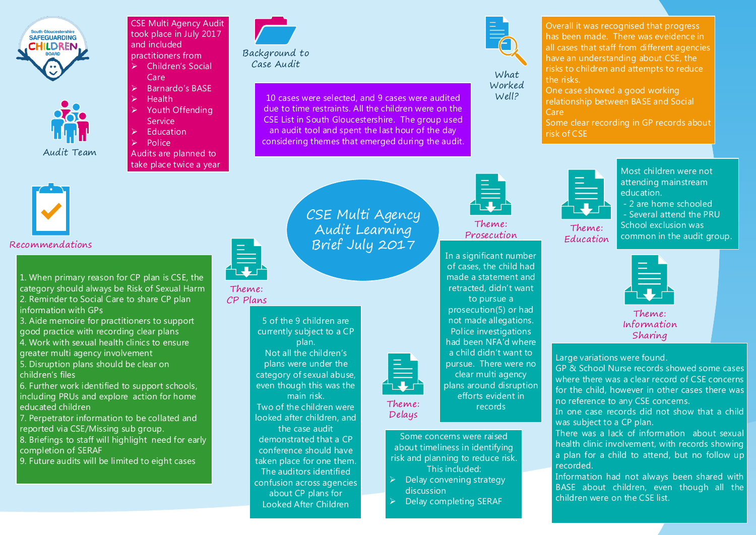

Audit Team

CSE Multi Agency Audit took place in July 2017 and included practitioners from  $\triangleright$  Children's Social

- Care Barnardo's BASE
- **Health**
- Youth Offending Service
- **Education**

Police

Audits are planned to take place twice a year



10 cases were selected, and 9 cases were audited due to time restraints. All the children were on the CSE List in South Gloucestershire. The group used an audit tool and spent the last hour of the day considering themes that emerged during the audit.



What Worked Well?

Theme: Prosecution

In a significant number of cases, the child had made a statement and retracted, didn't want to pursue a prosecution(5) or had not made allegations. Police investigations had been NFA'd where a child didn't want to pursue. There were no clear multi agency plans around disruption efforts evident in records

Overall it was recognised that progress has been made. There was eveidence in all cases that staff from different agencies have an understanding about CSE, the risks to children and attempts to reduce the risks.

One case showed a good working relationship between BASE and Social Care

Some clear recording in GP records about risk of CSE



## Recommendations

1. When primary reason for CP plan is CSE, the category should always be Risk of Sexual Harm 2. Reminder to Social Care to share CP plan information with GPs

3. Aide memoire for practitioners to support good practice with recording clear plans 4. Work with sexual health clinics to ensure

greater multi agency involvement

5. Disruption plans should be clear on children's files

6. Further work identified to support schools, including PRUs and explore action for home educated children

7. Perpetrator information to be collated and reported via CSE/Missing sub group.

8. Briefings to staff will highlight need for early completion of SERAF

9. Future audits will be limited to eight cases



## CSE Multi Agency Audit Learning Brief July 2017

## Theme: CP Plans

5 of the 9 children are currently subject to a CP

plan. Not all the children's plans were under the category of sexual abuse, even though this was the main risk.

Two of the children were looked after children, and the case audit

demonstrated that a CP conference should have taken place for one them. The auditors identified confusion across agencies about CP plans for Looked After Children



Theme: Delays

> Some concerns were raised about timeliness in identifying risk and planning to reduce risk. This included:

- $\triangleright$  Delay convening strategy discussion
- $\triangleright$  Delay completing SERAF



Theme: Education



- 2 are home schooled - Several attend the PRU School exclusion was

Most children were not

common in the audit group.



Theme: Information Sharing

Large variations were found.

GP & School Nurse records showed some cases where there was a clear record of CSE concerns for the child, however in other cases there was no reference to any CSE concerns.

In one case records did not show that a child was subject to a CP plan.

There was a lack of information about sexual health clinic involvement, with records showing a plan for a child to attend, but no follow up recorded.

Information had not always been shared with BASE about children, even though all the children were on the CSE list.